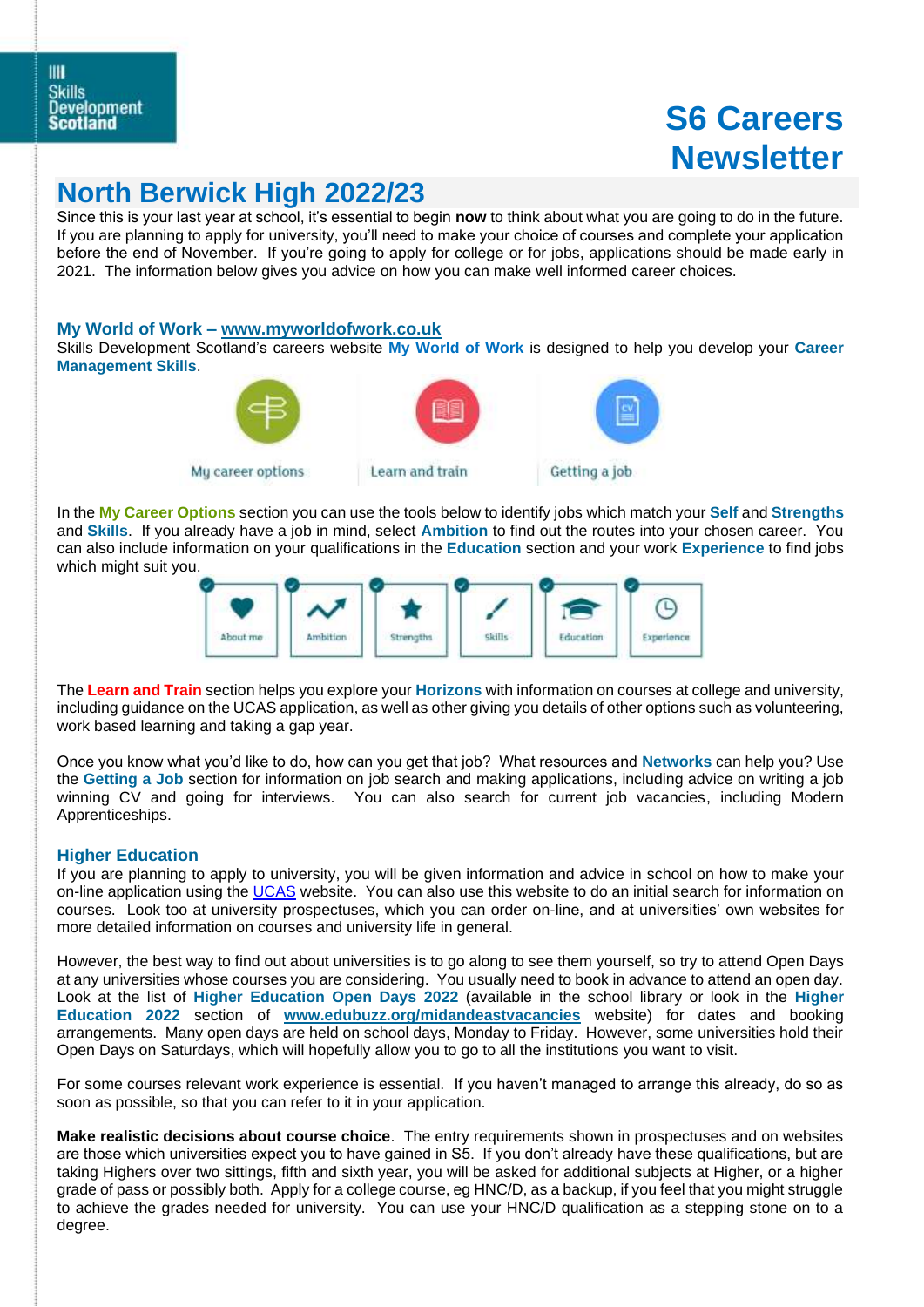# **S6 Careers Newsletter**

# **North Berwick High 2022/23**

Since this is your last year at school, it's essential to begin **now** to think about what you are going to do in the future. If you are planning to apply for university, you'll need to make your choice of courses and complete your application before the end of November. If you're going to apply for college or for jobs, applications should be made early in 2021. The information below gives you advice on how you can make well informed career choices.

#### **My World of Work – [www.myworldofwork.co.uk](http://www.myworldofwork.co.uk/)**

Skills Development Scotland's careers website **My World of Work** is designed to help you develop your **Career Management Skills**.



Mu career options



In the **My Career Options** section you can use the tools below to identify jobs which match your **Self** and **Strengths** and **Skills**. If you already have a job in mind, select **Ambition** to find out the routes into your chosen career. You can also include information on your qualifications in the **Education** section and your work **Experience** to find jobs

which might suit you.



The **Learn and Train** section helps you explore your **Horizons** with information on courses at college and university, including guidance on the UCAS application, as well as other giving you details of other options such as volunteering, work based learning and taking a gap year.

Once you know what you'd like to do, how can you get that job? What resources and **Networks** can help you? Use the **Getting a Job** section for information on job search and making applications, including advice on writing a job winning CV and going for interviews. You can also search for current job vacancies, including Modern Apprenticeships.

### **Higher Education**

If you are planning to apply to university, you will be given information and advice in school on how to make your on-line application using the [UCAS](http://www.ucas.com/) website. You can also use this website to do an initial search for information on courses. Look too at university prospectuses, which you can order on-line, and at universities' own websites for more detailed information on courses and university life in general.

However, the best way to find out about universities is to go along to see them yourself, so try to attend Open Days at any universities whose courses you are considering. You usually need to book in advance to attend an open day. Look at the list of **Higher Education Open Days 2022** (available in the school library or look in the **Higher Education 2022** section of **[www.edubuzz.org/midandeastvacancies](http://www.edubuzz.org/midandeastvacancies)** website) for dates and booking arrangements. Many open days are held on school days, Monday to Friday. However, some universities hold their Open Days on Saturdays, which will hopefully allow you to go to all the institutions you want to visit.

For some courses relevant work experience is essential. If you haven't managed to arrange this already, do so as soon as possible, so that you can refer to it in your application.

**Make realistic decisions about course choice**. The entry requirements shown in prospectuses and on websites are those which universities expect you to have gained in S5. If you don't already have these qualifications, but are taking Highers over two sittings, fifth and sixth year, you will be asked for additional subjects at Higher, or a higher grade of pass or possibly both. Apply for a college course, eg HNC/D, as a backup, if you feel that you might struggle to achieve the grades needed for university. You can use your HNC/D qualification as a stepping stone on to a degree.